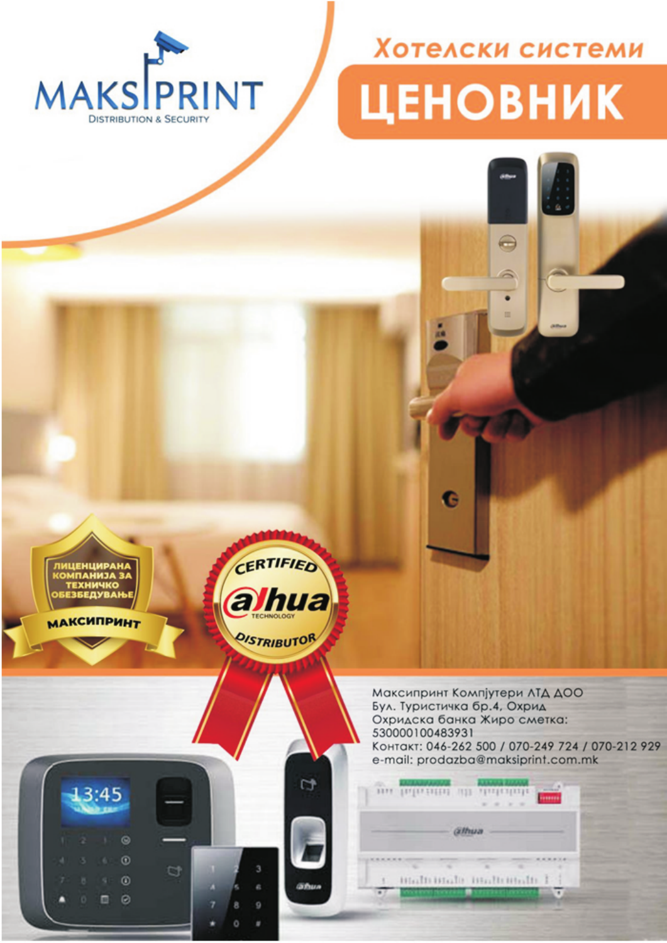

## Хотелски системи **ЦЕНОВНИК**

٠



**МАКСИПРИНТ** 



**C** 



Максипринт Компјутери ЛТД ДОО Бул. Туристичка бр.4, Охрид Охридска банка Жиро сметка: 530000100483931 Контакт: 046-262 500 / 070-249 724 / 070-212 929 e-mail: prodazba@maksiprint.com.mk

|  |                 | ٠ |  |
|--|-----------------|---|--|
|  | <b>GERPHANI</b> |   |  |
|  |                 |   |  |
|  |                 |   |  |
|  |                 |   |  |

G